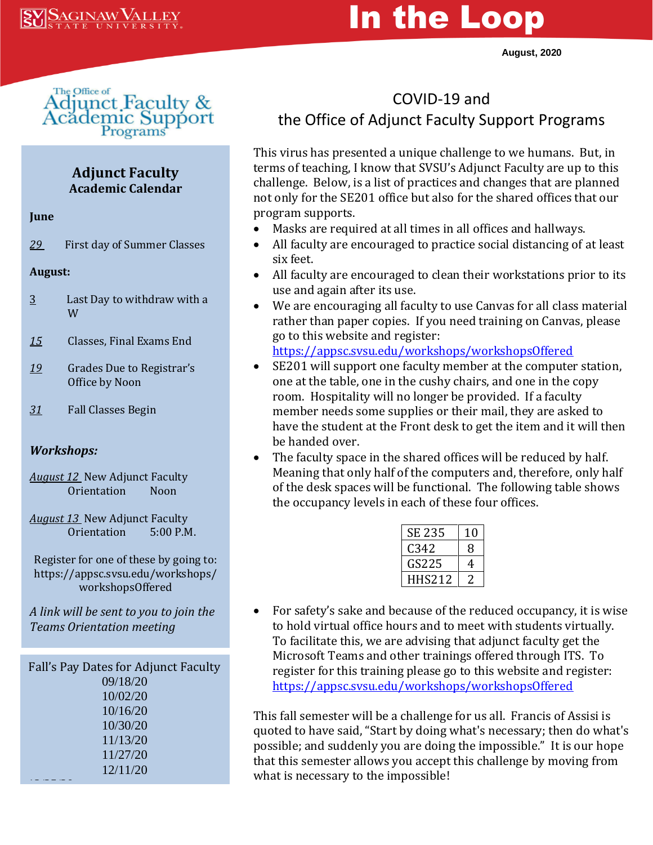# In the Loop

**August, 2020**



#### **Adjunct Faculty Academic Calendar**

#### **June**

*29* First day of Summer Classes

#### **August:**

- 3 Last Day to withdraw with a W
- *15* Classes, Final Exams End
- *19* Grades Due to Registrar's Office by Noon
- *31* Fall Classes Begin

#### *Workshops:*

- *August 12* New Adjunct Faculty Orientation Noon
- *August 13* New Adjunct Faculty Orientation 5:00 P.M.

Register for one of these by going to: https://appsc.svsu.edu/workshops/ workshopsOffered

*A link will be sent to you to join the Teams Orientation meeting*

| Fall's Pay Dates for Adjunct Faculty |
|--------------------------------------|
| 09/18/20                             |
| 10/02/20                             |
| 10/16/20                             |
| 10/30/20                             |
| 11/13/20                             |
| 11/27/20                             |
| 12/11/20                             |
|                                      |

## COVID-19 and the Office of Adjunct Faculty Support Programs

This virus has presented a unique challenge to we humans. But, in terms of teaching, I know that SVSU's Adjunct Faculty are up to this challenge. Below, is a list of practices and changes that are planned not only for the SE201 office but also for the shared offices that our program supports.

- Masks are required at all times in all offices and hallways.
- All faculty are encouraged to practice social distancing of at least six feet.
- All faculty are encouraged to clean their workstations prior to its use and again after its use.
- We are encouraging all faculty to use Canvas for all class material rather than paper copies. If you need training on Canvas, please go to this website and register:

<https://appsc.svsu.edu/workshops/workshopsOffered>

- SE201 will support one faculty member at the computer station, one at the table, one in the cushy chairs, and one in the copy room. Hospitality will no longer be provided. If a faculty member needs some supplies or their mail, they are asked to have the student at the Front desk to get the item and it will then be handed over.
- The faculty space in the shared offices will be reduced by half. Meaning that only half of the computers and, therefore, only half of the desk spaces will be functional. The following table shows the occupancy levels in each of these four offices.

| SE 235 | 10 |
|--------|----|
| C342   | x  |
| GS225  | 4  |
| HHS212 |    |

• For safety's sake and because of the reduced occupancy, it is wise to hold virtual office hours and to meet with students virtually. To facilitate this, we are advising that adjunct faculty get the Microsoft Teams and other trainings offered through ITS. To register for this training please go to this website and register: <https://appsc.svsu.edu/workshops/workshopsOffered>

This fall semester will be a challenge for us all. Francis of Assisi is quoted to have said, "Start by doing what's necessary; then do what's possible; and suddenly you are doing the impossible." It is our hope that this semester allows you accept this challenge by moving from what is necessary to the impossible!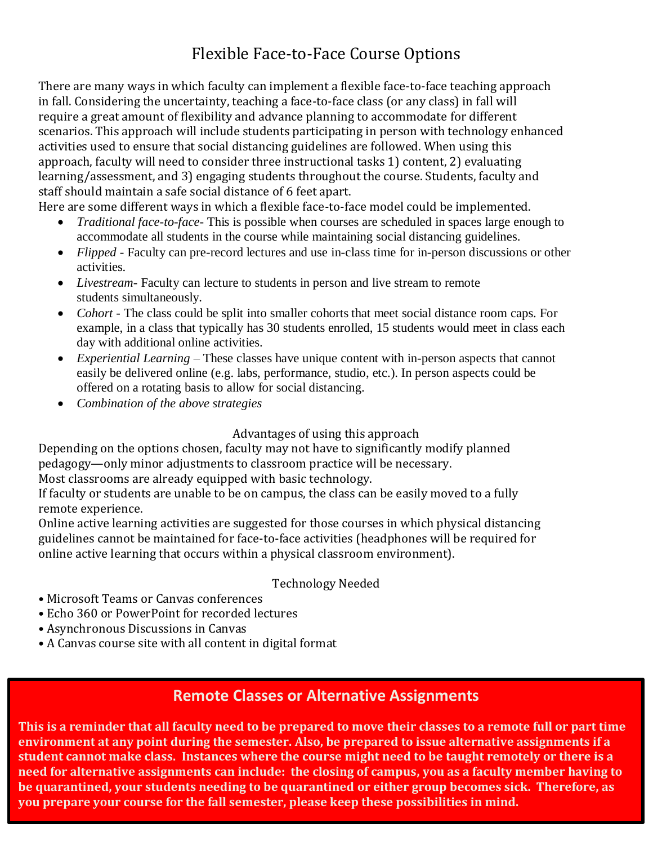## Flexible Face-to-Face Course Options

There are many ways in which faculty can implement a flexible face-to-face teaching approach in fall. Considering the uncertainty, teaching a face-to-face class (or any class) in fall will require a great amount of flexibility and advance planning to accommodate for different scenarios. This approach will include students participating in person with technology enhanced activities used to ensure that social distancing guidelines are followed. When using this approach, faculty will need to consider three instructional tasks 1) content, 2) evaluating learning/assessment, and 3) engaging students throughout the course. Students, faculty and staff should maintain a safe social distance of 6 feet apart.

Here are some different ways in which a flexible face-to-face model could be implemented.

- *Traditional face-to-face* This is possible when courses are scheduled in spaces large enough to accommodate all students in the course while maintaining social distancing guidelines.
- *Flipped*  Faculty can pre-record lectures and use in-class time for in-person discussions or other activities.
- *Livestream* Faculty can lecture to students in person and live stream to remote students simultaneously.
- *Cohort* The class could be split into smaller cohorts that meet social distance room caps. For example, in a class that typically has 30 students enrolled, 15 students would meet in class each day with additional online activities.
- *Experiential Learning* These classes have unique content with in-person aspects that cannot easily be delivered online (e.g. labs, performance, studio, etc.). In person aspects could be offered on a rotating basis to allow for social distancing.
- *Combination of the above strategies*

#### Advantages of using this approach

Depending on the options chosen, faculty may not have to significantly modify planned pedagogy—only minor adjustments to classroom practice will be necessary.

Most classrooms are already equipped with basic technology.

If faculty or students are unable to be on campus, the class can be easily moved to a fully remote experience.

Online active learning activities are suggested for those courses in which physical distancing guidelines cannot be maintained for face-to-face activities (headphones will be required for online active learning that occurs within a physical classroom environment).

#### Technology Needed

- Microsoft Teams or Canvas conferences
- Echo 360 or PowerPoint for recorded lectures
- Asynchronous Discussions in Canvas
- A Canvas course site with all content in digital format

## **Remote Classes or Alternative Assignments**

**This is a reminder that all faculty need to be prepared to move their classes to a remote full or part time environment at any point during the semester. Also, be prepared to issue alternative assignments if a student cannot make class. Instances where the course might need to be taught remotely or there is a need for alternative assignments can include: the closing of campus, you as a faculty member having to be quarantined, your students needing to be quarantined or either group becomes sick. Therefore, as you prepare your course for the fall semester, please keep these possibilities in mind.**